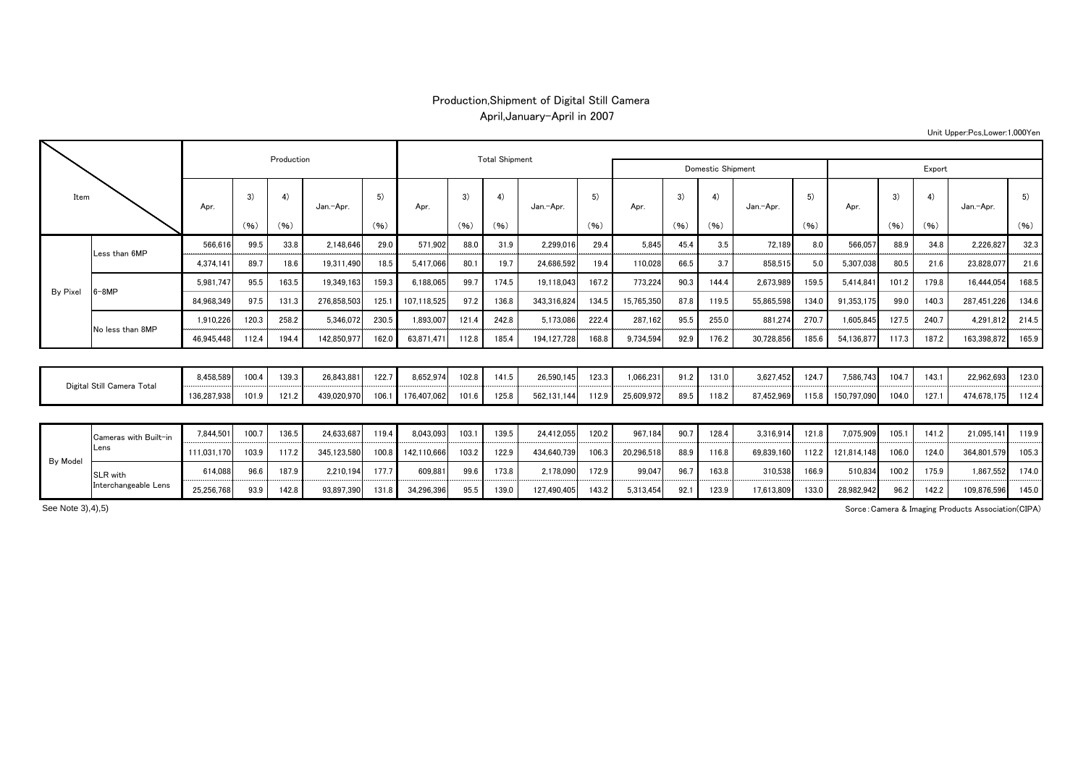## Production,Shipment of Digital Still Camera April,January-April in 2007

| Item                       |                       |             |       | Production |             |            |             | <b>Total Shipment</b> |       |             |                   |            |            |       |            |       |             |       |       |             |       |
|----------------------------|-----------------------|-------------|-------|------------|-------------|------------|-------------|-----------------------|-------|-------------|-------------------|------------|------------|-------|------------|-------|-------------|-------|-------|-------------|-------|
|                            |                       |             |       |            |             |            |             |                       |       |             | Domestic Shipment |            | Export     |       |            |       |             |       |       |             |       |
|                            |                       | Apr.        | 3)    | 4)         | Jan.-Apr.   | 5)<br>(96) | Apr.        | 3)                    | 4)    | Jan.-Apr.   | 5)<br>(96)        | Apr.       | 3)<br>(96) | 4)    | Jan.-Apr.  | 5)    | Apr.        | 3)    | 4)    | Jan.-Apr.   | 5)    |
|                            |                       |             | (96)  | (96)       |             |            |             | (96)                  | (96)  |             |                   |            |            | (96)  |            | (96)  |             | (96)  | (96)  |             | (96)  |
| <b>By Pixel</b>            | Less than 6MP         | 566,61      | 99.5  | 33.8       | 2,148,646   | 29.0       | 571,902     | 88.0                  | 31.9  | 2,299,016   | 29.4              | 5.845      | 45.4       | 3.5   | 72.189     | 8.0   | 566,057     | 88.9  | 34.8  | 2,226,827   | 32.3  |
|                            |                       | 4.374.141   | 89.7  | 18.6       | 19,311,490  | 18.5       | 5.417.066   | 80.1                  | 19.7  | 24,686,592  | 19.4              | 110.028    | 66.5       | 3.7   | 858,515    | 5.0   | 5,307,038   | 80.5  | 21.6  | 23,828,077  | 21.6  |
|                            | $6 - 8MP$             | 5.981.747   | 95.5  | 163.5      | 19.349.163  | 159.3      | 6.188.065   | 99.                   | 174.5 | 19,118,043  | 167.2             | 773.224    | 90.3       | 144.4 | 2.673.989  | 159.5 | 5.414.841   | 101.2 | 179.8 | 16.444.054  | 168.5 |
|                            |                       | 84,968,349  | 97.5  | 131.3      | 276,858,503 | 125.1      | 107,118,525 | 97.2                  | 136.8 | 343,316,824 | 134.5             | 15,765,350 | 87.8       | 119.5 | 55,865,598 | 134.0 | 91,353,175  | 99.0  | 140.3 | 287,451,226 | 134.6 |
|                            | No less than 8MP      | 1,910,226   | 120.3 | 258.2      | 5,346,072   | 230.5      | 1,893,007   | 121.4                 | 242.8 | 5,173,086   | 222.4             | 287,162    | 95.5       | 255.0 | 881,274    | 270.7 | 1,605,845   | 127.5 | 240.7 | 4,291,812   | 214.5 |
|                            |                       | 46,945,448  | 112.4 | 194.4      | 142,850,977 | 162.0      | 63,871,471  | 112.8                 | 185.4 | 194,127,728 | 168.8             | 9,734,594  | 92.9       | 176.2 | 30,728,856 | 185.6 | 54,136,877  | 117.3 | 187.2 | 163,398,872 | 165.9 |
|                            |                       |             |       |            |             |            |             |                       |       |             |                   |            |            |       |            |       |             |       |       |             |       |
| Digital Still Camera Total |                       | 8,458,589   | 100.4 | 139.3      | 26,843,881  | 122.7      | 8,652,974   | 102.8                 | 141.5 | 26,590,145  | 123.3             | 1,066,231  | 91.2       | 131.0 | 3,627,452  | 124.7 | 7,586,743   | 104.7 | 143.1 | 22,962,693  | 123.0 |
|                            |                       | 136,287,938 | 101.9 | 121.2      | 439,020,970 | 106.1      | 176,407,062 | 101.6                 | 125.8 | 562,131,144 | 112.9             | 25,609,972 | 89.5       | 118.2 | 87,452,969 | 115.8 | 150,797,090 | 104.0 | 127.1 | 474,678,175 | 112.4 |
|                            |                       |             |       |            |             |            |             |                       |       |             |                   |            |            |       |            |       |             |       |       |             |       |
| By Model                   | Cameras with Built-in | 7,844,501   | 100.7 | 136.5      | 24,633,687  | 119.4      | 8,043,093   | 103.1                 | 139.5 | 24,412,055  | 120.2             | 967.184    | 90.7       | 128.4 | 3,316,914  | 121.8 | 7,075,909   | 105.1 | 141.2 | 21,095,14   | 119.9 |
|                            | Lens                  | 111,031,170 | 103.9 | 117.2      | 345,123,580 | 100.8      | 142,110,666 | 103.2                 | 122.9 | 434,640,739 | 106.3             | 20,296,51  | 88.9       | 116.8 | 69,839,160 | 112.2 | 121,814,148 | 106.0 | 124.0 | 364,801,579 | 105.3 |
|                            | SLR with              | 614,088     | 96.6  | 187.9      | 2,210,194   | 177.7      | 609,881     | 99.6                  | 173.8 | 2,178,090   | 172.9             | 99,047     | 96.7       | 163.8 | 310,538    | 166.9 | 510,834     | 100.2 | 175.9 | 1,867,552   | 174.0 |
|                            | Interchangeable Lens  | 25.256.768  | 93.9  | 142.8      | 93.897.390  | 131.8      | 34.296.396  | 95.5                  | 139.0 | 127.490.405 | 143.2             | 5.313.454  | 92.1       | 123.9 | 17.613.809 | 133.0 | 28.982,942  | 96.2  | 142.2 | 109.876.596 | 145.0 |

Sorce:Camera & Imaging Products Association(CIPA)

Unit Upper:Pcs,Lower:1,000Yen

See Note 3),4),5)